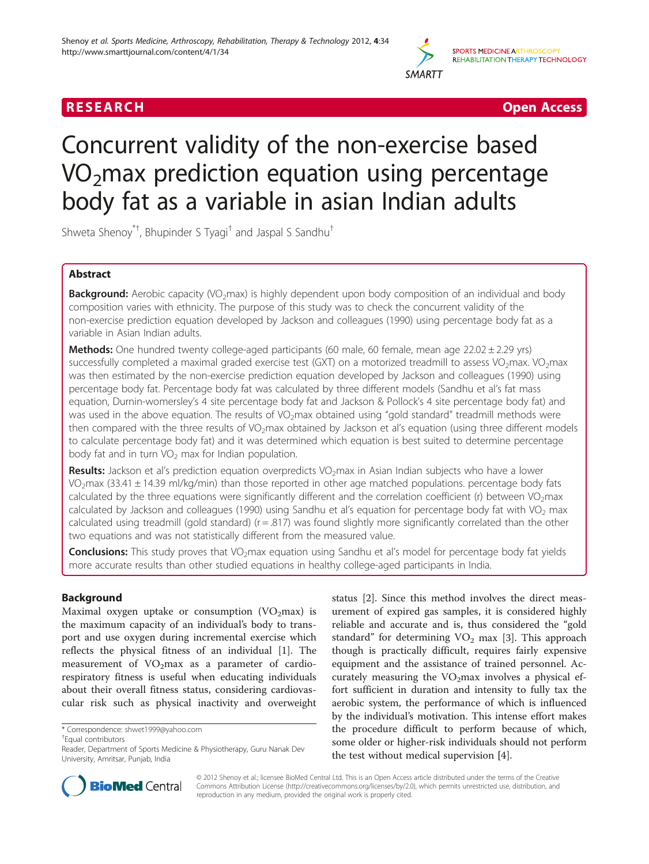

R E S EAR CH Open Access

# Concurrent validity of the non-exercise based  $VO<sub>2</sub>$ max prediction equation using percentage body fat as a variable in asian Indian adults

Shweta Shenoy $^{*+}$ , Bhupinder S Tyagi $^{\dagger}$  and Jaspal S Sandhu $^{\dagger}$ 

# Abstract

Background: Aerobic capacity (VO<sub>2</sub>max) is highly dependent upon body composition of an individual and body composition varies with ethnicity. The purpose of this study was to check the concurrent validity of the non-exercise prediction equation developed by Jackson and colleagues (1990) using percentage body fat as a variable in Asian Indian adults.

**Methods:** One hundred twenty college-aged participants (60 male, 60 female, mean age  $22.02 \pm 2.29$  yrs) successfully completed a maximal graded exercise test (GXT) on a motorized treadmill to assess VO<sub>2</sub>max. VO<sub>2</sub>max was then estimated by the non-exercise prediction equation developed by Jackson and colleagues (1990) using percentage body fat. Percentage body fat was calculated by three different models (Sandhu et al's fat mass equation, Durnin-womersley's 4 site percentage body fat and Jackson & Pollock's 4 site percentage body fat) and was used in the above equation. The results of VO<sub>2</sub>max obtained using "gold standard" treadmill methods were then compared with the three results of VO<sub>2</sub>max obtained by Jackson et al's equation (using three different models to calculate percentage body fat) and it was determined which equation is best suited to determine percentage body fat and in turn  $VO<sub>2</sub>$  max for Indian population.

Results: Jackson et al's prediction equation overpredicts VO<sub>2</sub>max in Asian Indian subjects who have a lower VO<sub>2</sub>max (33.41  $\pm$  14.39 ml/kg/min) than those reported in other age matched populations. percentage body fats calculated by the three equations were significantly different and the correlation coefficient (r) between  $VO_2$ max calculated by Jackson and colleagues (1990) using Sandhu et al's equation for percentage body fat with VO<sub>2</sub> max calculated using treadmill (gold standard) (r = .817) was found slightly more significantly correlated than the other two equations and was not statistically different from the measured value.

**Conclusions:** This study proves that VO<sub>2</sub>max equation using Sandhu et al's model for percentage body fat yields more accurate results than other studied equations in healthy college-aged participants in India.

# Background

Maximal oxygen uptake or consumption  $(VO<sub>2</sub>max)$  is the maximum capacity of an individual's body to transport and use oxygen during incremental exercise which reflects the physical fitness of an individual [[1](#page-5-0)]. The measurement of  $VO<sub>2</sub>max$  as a parameter of cardiorespiratory fitness is useful when educating individuals about their overall fitness status, considering cardiovascular risk such as physical inactivity and overweight

Equal contributors

status [[2\]](#page-5-0). Since this method involves the direct measurement of expired gas samples, it is considered highly reliable and accurate and is, thus considered the "gold standard" for determining  $VO<sub>2</sub>$  max [\[3](#page-5-0)]. This approach though is practically difficult, requires fairly expensive equipment and the assistance of trained personnel. Accurately measuring the  $VO<sub>2</sub>$ max involves a physical effort sufficient in duration and intensity to fully tax the aerobic system, the performance of which is influenced by the individual's motivation. This intense effort makes the procedure difficult to perform because of which, some older or higher-risk individuals should not perform the test without medical supervision [[4\]](#page-5-0).



© 2012 Shenoy et al.; licensee BioMed Central Ltd. This is an Open Access article distributed under the terms of the Creative Commons Attribution License [\(http://creativecommons.org/licenses/by/2.0\)](http://creativecommons.org/licenses/by/2.0), which permits unrestricted use, distribution, and reproduction in any medium, provided the original work is properly cited.

<sup>\*</sup> Correspondence: [shwet1999@yahoo.com](mailto:shwet1999@yahoo.com) †

Reader, Department of Sports Medicine & Physiotherapy, Guru Nanak Dev University, Amritsar, Punjab, India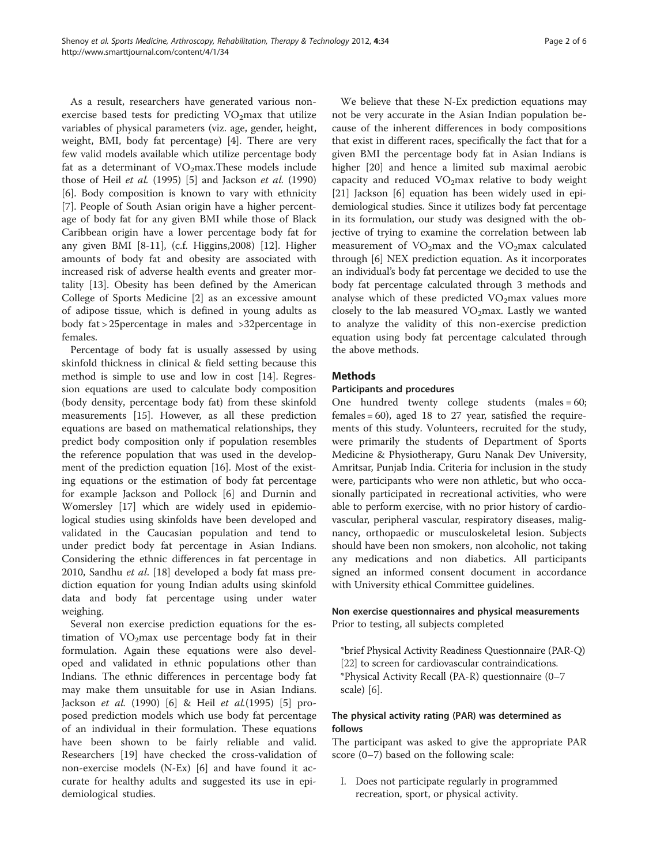As a result, researchers have generated various nonexercise based tests for predicting  $VO<sub>2</sub>$ max that utilize variables of physical parameters (viz. age, gender, height, weight, BMI, body fat percentage) [[4\]](#page-5-0). There are very few valid models available which utilize percentage body fat as a determinant of  $VO<sub>2</sub>max. These models include$ those of Heil et al.  $(1995)$  [\[5](#page-5-0)] and Jackson et al.  $(1990)$ [[6\]](#page-5-0). Body composition is known to vary with ethnicity [[7\]](#page-5-0). People of South Asian origin have a higher percentage of body fat for any given BMI while those of Black Caribbean origin have a lower percentage body fat for any given BMI [\[8-11](#page-5-0)], (c.f. Higgins,2008) [\[12\]](#page-5-0). Higher amounts of body fat and obesity are associated with increased risk of adverse health events and greater mortality [[13\]](#page-5-0). Obesity has been defined by the American College of Sports Medicine [\[2\]](#page-5-0) as an excessive amount of adipose tissue, which is defined in young adults as body fat > 25percentage in males and >32percentage in females.

Percentage of body fat is usually assessed by using skinfold thickness in clinical & field setting because this method is simple to use and low in cost [\[14](#page-5-0)]. Regression equations are used to calculate body composition (body density, percentage body fat) from these skinfold measurements [\[15](#page-5-0)]. However, as all these prediction equations are based on mathematical relationships, they predict body composition only if population resembles the reference population that was used in the development of the prediction equation [[16\]](#page-5-0). Most of the existing equations or the estimation of body fat percentage for example Jackson and Pollock [\[6](#page-5-0)] and Durnin and Womersley [\[17\]](#page-5-0) which are widely used in epidemiological studies using skinfolds have been developed and validated in the Caucasian population and tend to under predict body fat percentage in Asian Indians. Considering the ethnic differences in fat percentage in 2010, Sandhu *et al.* [[18\]](#page-5-0) developed a body fat mass prediction equation for young Indian adults using skinfold data and body fat percentage using under water weighing.

Several non exercise prediction equations for the estimation of  $VO<sub>2</sub>$  max use percentage body fat in their formulation. Again these equations were also developed and validated in ethnic populations other than Indians. The ethnic differences in percentage body fat may make them unsuitable for use in Asian Indians. Jackson et al. (1990) [[6\]](#page-5-0) & Heil et al.(1995) [[5\]](#page-5-0) proposed prediction models which use body fat percentage of an individual in their formulation. These equations have been shown to be fairly reliable and valid. Researchers [[19](#page-5-0)] have checked the cross-validation of non-exercise models (N-Ex) [\[6](#page-5-0)] and have found it accurate for healthy adults and suggested its use in epidemiological studies.

We believe that these N-Ex prediction equations may not be very accurate in the Asian Indian population because of the inherent differences in body compositions that exist in different races, specifically the fact that for a given BMI the percentage body fat in Asian Indians is higher [[20\]](#page-5-0) and hence a limited sub maximal aerobic capacity and reduced  $VO<sub>2</sub>$ max relative to body weight [[21\]](#page-5-0) Jackson [[6\]](#page-5-0) equation has been widely used in epidemiological studies. Since it utilizes body fat percentage in its formulation, our study was designed with the objective of trying to examine the correlation between lab measurement of  $VO<sub>2</sub>max$  and the  $VO<sub>2</sub>max$  calculated through [[6\]](#page-5-0) NEX prediction equation. As it incorporates an individual's body fat percentage we decided to use the body fat percentage calculated through 3 methods and analyse which of these predicted  $VO<sub>2</sub>$ max values more closely to the lab measured  $VO<sub>2</sub>max$ . Lastly we wanted to analyze the validity of this non-exercise prediction equation using body fat percentage calculated through the above methods.

### **Methods**

#### Participants and procedures

One hundred twenty college students (males = 60; females = 60), aged 18 to 27 year, satisfied the requirements of this study. Volunteers, recruited for the study, were primarily the students of Department of Sports Medicine & Physiotherapy, Guru Nanak Dev University, Amritsar, Punjab India. Criteria for inclusion in the study were, participants who were non athletic, but who occasionally participated in recreational activities, who were able to perform exercise, with no prior history of cardiovascular, peripheral vascular, respiratory diseases, malignancy, orthopaedic or musculoskeletal lesion. Subjects should have been non smokers, non alcoholic, not taking any medications and non diabetics. All participants signed an informed consent document in accordance with University ethical Committee guidelines.

# Non exercise questionnaires and physical measurements Prior to testing, all subjects completed

\*brief Physical Activity Readiness Questionnaire (PAR-Q) [[22](#page-5-0)] to screen for cardiovascular contraindications. \*Physical Activity Recall (PA-R) questionnaire (0–7 scale) [[6\]](#page-5-0).

# The physical activity rating (PAR) was determined as follows

The participant was asked to give the appropriate PAR score (0–7) based on the following scale:

I. Does not participate regularly in programmed recreation, sport, or physical activity.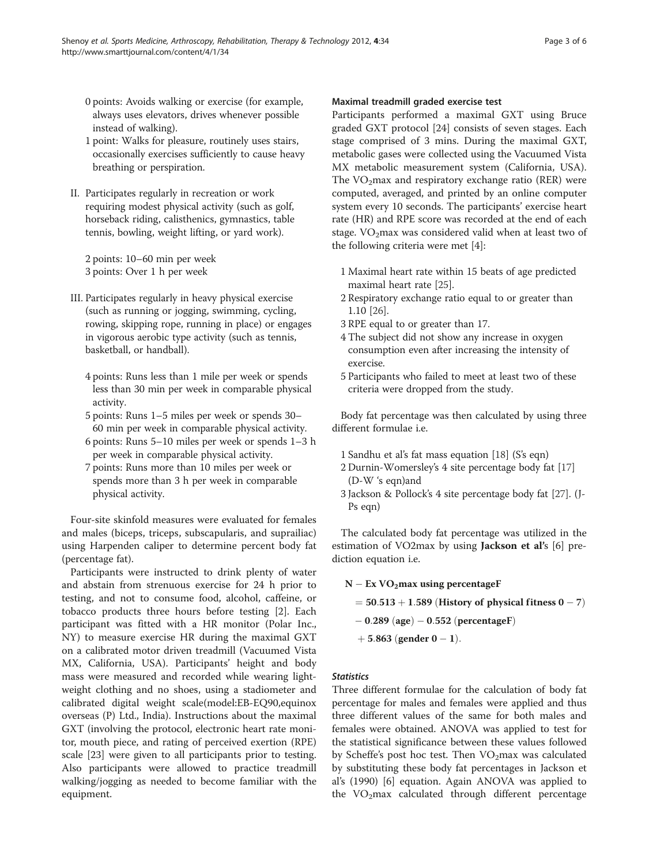- 0 points: Avoids walking or exercise (for example, always uses elevators, drives whenever possible instead of walking).
- 1 point: Walks for pleasure, routinely uses stairs, occasionally exercises sufficiently to cause heavy breathing or perspiration.
- II. Participates regularly in recreation or work requiring modest physical activity (such as golf, horseback riding, calisthenics, gymnastics, table tennis, bowling, weight lifting, or yard work).

2 points: 10–60 min per week 3 points: Over 1 h per week

- III. Participates regularly in heavy physical exercise (such as running or jogging, swimming, cycling, rowing, skipping rope, running in place) or engages in vigorous aerobic type activity (such as tennis, basketball, or handball).
	- 4 points: Runs less than 1 mile per week or spends less than 30 min per week in comparable physical activity.
	- 5 points: Runs 1–5 miles per week or spends 30– 60 min per week in comparable physical activity.
	- 6 points: Runs 5–10 miles per week or spends 1–3 h per week in comparable physical activity.
	- 7 points: Runs more than 10 miles per week or spends more than 3 h per week in comparable physical activity.

Four-site skinfold measures were evaluated for females and males (biceps, triceps, subscapularis, and suprailiac) using Harpenden caliper to determine percent body fat (percentage fat).

Participants were instructed to drink plenty of water and abstain from strenuous exercise for 24 h prior to testing, and not to consume food, alcohol, caffeine, or tobacco products three hours before testing [\[2](#page-5-0)]. Each participant was fitted with a HR monitor (Polar Inc., NY) to measure exercise HR during the maximal GXT on a calibrated motor driven treadmill (Vacuumed Vista MX, California, USA). Participants' height and body mass were measured and recorded while wearing lightweight clothing and no shoes, using a stadiometer and calibrated digital weight scale(model:EB-EQ90,equinox overseas (P) Ltd., India). Instructions about the maximal GXT (involving the protocol, electronic heart rate monitor, mouth piece, and rating of perceived exertion (RPE) scale [\[23\]](#page-5-0) were given to all participants prior to testing. Also participants were allowed to practice treadmill walking/jogging as needed to become familiar with the equipment.

#### Maximal treadmill graded exercise test

Participants performed a maximal GXT using Bruce graded GXT protocol [\[24](#page-5-0)] consists of seven stages. Each stage comprised of 3 mins. During the maximal GXT, metabolic gases were collected using the Vacuumed Vista MX metabolic measurement system (California, USA). The  $VO<sub>2</sub>max$  and respiratory exchange ratio (RER) were computed, averaged, and printed by an online computer system every 10 seconds. The participants' exercise heart rate (HR) and RPE score was recorded at the end of each stage.  $VO<sub>2</sub>max$  was considered valid when at least two of the following criteria were met [[4\]](#page-5-0):

- 1 Maximal heart rate within 15 beats of age predicted maximal heart rate [\[25\]](#page-5-0).
- 2 Respiratory exchange ratio equal to or greater than 1.10 [\[26\]](#page-5-0).
- 3 RPE equal to or greater than 17.
- 4 The subject did not show any increase in oxygen consumption even after increasing the intensity of exercise.
- 5 Participants who failed to meet at least two of these criteria were dropped from the study.

Body fat percentage was then calculated by using three different formulae i.e.

- 1 Sandhu et al's fat mass equation [[18](#page-5-0)] (S's eqn)
- 2 Durnin-Womersley's 4 site percentage body fat [\[17\]](#page-5-0) (D-W 's eqn)and
- 3 Jackson & Pollock's 4 site percentage body fat [\[27](#page-5-0)]. (J-Ps eqn)

The calculated body fat percentage was utilized in the estimation of VO2max by using Jackson et al's [\[6\]](#page-5-0) prediction equation i.e.

 $N - Ex VO<sub>2</sub> max$  using percentageF

```
= 50.513 + 1.589 (History of physical fitness 0 - 7)
```
- $-0.289$  (age)  $-0.552$  (percentageF)
- $+5.863$  (gender  $0 1$ ).

#### **Statistics**

Three different formulae for the calculation of body fat percentage for males and females were applied and thus three different values of the same for both males and females were obtained. ANOVA was applied to test for the statistical significance between these values followed by Scheffe's post hoc test. Then  $VO<sub>2</sub>$ max was calculated by substituting these body fat percentages in Jackson et al's (1990) [[6\]](#page-5-0) equation. Again ANOVA was applied to the  $VO<sub>2</sub>max$  calculated through different percentage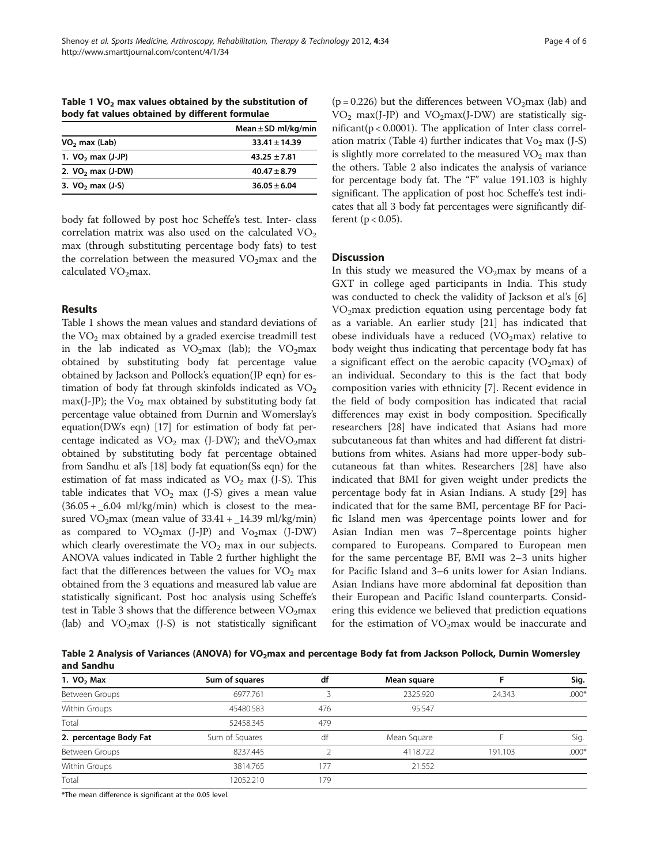Table 1  $VO<sub>2</sub>$  max values obtained by the substitution of body fat values obtained by different formulae

|                      | Mean $\pm$ SD ml/kg/min |  |  |
|----------------------|-------------------------|--|--|
| $VO2$ max (Lab)      | $33.41 + 14.39$         |  |  |
| 1. $VO2$ max (J-JP)  | $43.25 + 7.81$          |  |  |
| 2. $VO2$ max (J-DW)  | $40.47 \pm 8.79$        |  |  |
| 3. $VO2$ max $(J-S)$ | $36.05 + 6.04$          |  |  |
|                      |                         |  |  |

body fat followed by post hoc Scheffe's test. Inter- class correlation matrix was also used on the calculated  $VO<sub>2</sub>$ max (through substituting percentage body fats) to test the correlation between the measured  $VO<sub>2</sub>$ max and the calculated  $VO<sub>2</sub>$ max.

# Results

Table 1 shows the mean values and standard deviations of the  $VO<sub>2</sub>$  max obtained by a graded exercise treadmill test in the lab indicated as  $VO<sub>2</sub>max$  (lab); the  $VO<sub>2</sub>max$ obtained by substituting body fat percentage value obtained by Jackson and Pollock's equation(JP eqn) for estimation of body fat through skinfolds indicated as  $VO<sub>2</sub>$ max(J-JP); the  $Vo<sub>2</sub>$  max obtained by substituting body fat percentage value obtained from Durnin and Womerslay's equation(DWs eqn) [[17](#page-5-0)] for estimation of body fat percentage indicated as  $VO<sub>2</sub>$  max (J-DW); and the VO<sub>2</sub>max obtained by substituting body fat percentage obtained from Sandhu et al's [\[18\]](#page-5-0) body fat equation(Ss eqn) for the estimation of fat mass indicated as  $VO<sub>2</sub>$  max (J-S). This table indicates that  $VO<sub>2</sub>$  max (J-S) gives a mean value  $(36.05 + 6.04 \text{ ml/kg/min})$  which is closest to the measured VO<sub>2</sub>max (mean value of  $33.41 + 14.39$  ml/kg/min) as compared to  $VO<sub>2</sub>max$  (J-JP) and  $Vo<sub>2</sub>max$  (J-DW) which clearly overestimate the  $VO<sub>2</sub>$  max in our subjects. ANOVA values indicated in Table 2 further highlight the fact that the differences between the values for  $VO<sub>2</sub>$  max obtained from the 3 equations and measured lab value are statistically significant. Post hoc analysis using Scheffe's test in Table [3](#page-4-0) shows that the difference between  $VO<sub>2</sub>max$ (lab) and  $VO<sub>2</sub>max$  (J-S) is not statistically significant

( $p = 0.226$ ) but the differences between VO<sub>2</sub>max (lab) and  $VO<sub>2</sub> max(J-JP)$  and  $VO<sub>2</sub> max(J-DW)$  are statistically significant(p < 0.0001). The application of Inter class correl-ation matrix (Table [4](#page-4-0)) further indicates that  $Vo_2$  max (J-S) is slightly more correlated to the measured  $VO<sub>2</sub>$  max than the others. Table 2 also indicates the analysis of variance for percentage body fat. The "F" value 191.103 is highly significant. The application of post hoc Scheffe's test indicates that all 3 body fat percentages were significantly different ( $p < 0.05$ ).

# **Discussion**

In this study we measured the  $VO<sub>2</sub>max$  by means of a GXT in college aged participants in India. This study was conducted to check the validity of Jackson et al's [\[6](#page-5-0)] VO2max prediction equation using percentage body fat as a variable. An earlier study [[21\]](#page-5-0) has indicated that obese individuals have a reduced ( $VO<sub>2</sub>$ max) relative to body weight thus indicating that percentage body fat has a significant effect on the aerobic capacity ( $VO<sub>2</sub>max$ ) of an individual. Secondary to this is the fact that body composition varies with ethnicity [[7\]](#page-5-0). Recent evidence in the field of body composition has indicated that racial differences may exist in body composition. Specifically researchers [\[28\]](#page-5-0) have indicated that Asians had more subcutaneous fat than whites and had different fat distributions from whites. Asians had more upper-body subcutaneous fat than whites. Researchers [[28\]](#page-5-0) have also indicated that BMI for given weight under predicts the percentage body fat in Asian Indians. A study [[29\]](#page-5-0) has indicated that for the same BMI, percentage BF for Pacific Island men was 4percentage points lower and for Asian Indian men was 7–8percentage points higher compared to Europeans. Compared to European men for the same percentage BF, BMI was 2–3 units higher for Pacific Island and 3–6 units lower for Asian Indians. Asian Indians have more abdominal fat deposition than their European and Pacific Island counterparts. Considering this evidence we believed that prediction equations for the estimation of  $VO<sub>2</sub>$ max would be inaccurate and

Table 2 Analysis of Variances (ANOVA) for VO<sub>2</sub>max and percentage Body fat from Jackson Pollock, Durnin Womersley and Sandhu

| 1. $VO2$ Max           | Sum of squares | df  | Mean square |         | Sig.    |
|------------------------|----------------|-----|-------------|---------|---------|
| Between Groups         | 6977.761       |     | 2325.920    | 24.343  | $.000*$ |
| Within Groups          | 45480.583      | 476 | 95.547      |         |         |
| Total                  | 52458.345      | 479 |             |         |         |
| 2. percentage Body Fat | Sum of Squares | df  | Mean Square |         | Sig.    |
| Between Groups         | 8237.445       |     | 4118.722    | 191.103 | $.000*$ |
| Within Groups          | 3814.765       | 177 | 21.552      |         |         |
| Total                  | 2052.210       | 179 |             |         |         |

\*The mean difference is significant at the 0.05 level.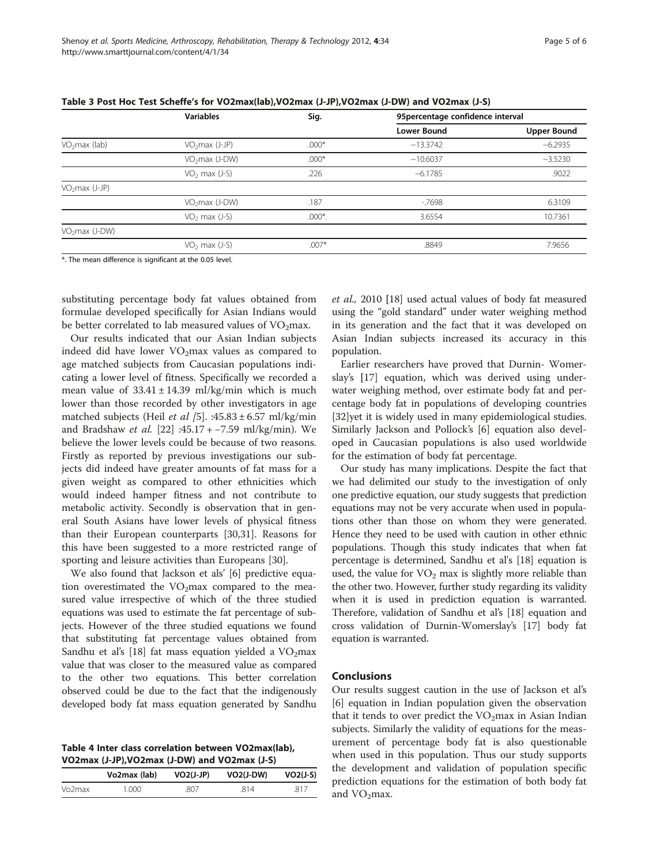|                           | <b>Variables</b>           | Sig.      | 95 percentage confidence interval |                    |
|---------------------------|----------------------------|-----------|-----------------------------------|--------------------|
|                           |                            |           | Lower Bound                       | <b>Upper Bound</b> |
| VO <sub>2</sub> max (lab) | $VO2max (J-JP)$            | $.000*$   | $-13.3742$                        | $-6.2935$          |
|                           | VO <sub>2</sub> max (J-DW) | $.000*$   | $-10.6037$                        | $-3.5230$          |
|                           | $VO2$ max (J-S)            | .226      | $-6.1785$                         | .9022              |
| $VO2max (J-JP)$           |                            |           |                                   |                    |
|                           | $VO2max (J-DW)$            | .187      | $-7698$                           | 6.3109             |
|                           | $VO2$ max (J-S)            | $.000*$ . | 3.6554                            | 10.7361            |
| $VO2max (J-DW)$           |                            |           |                                   |                    |
|                           | $VO2$ max (J-S)            | $.007*$   | .8849                             | 7.9656             |
|                           |                            |           |                                   |                    |

<span id="page-4-0"></span>Table 3 Post Hoc Test Scheffe's for VO2max(lab),VO2max (J-JP),VO2max (J-DW) and VO2max (J-S)

\*. The mean difference is significant at the 0.05 level.

substituting percentage body fat values obtained from formulae developed specifically for Asian Indians would be better correlated to lab measured values of  $VO<sub>2</sub>$ max.

Our results indicated that our Asian Indian subjects indeed did have lower  $VO<sub>2</sub>$  max values as compared to age matched subjects from Caucasian populations indicating a lower level of fitness. Specifically we recorded a mean value of  $33.41 \pm 14.39$  ml/kg/min which is much lower than those recorded by other investigators in age matched subjects (Heil et al [[5\]](#page-5-0). :45.83  $\pm$  6.57 ml/kg/min and Bradshaw et al. [\[22](#page-5-0)] :45.17 + −7.59 ml/kg/min). We believe the lower levels could be because of two reasons. Firstly as reported by previous investigations our subjects did indeed have greater amounts of fat mass for a given weight as compared to other ethnicities which would indeed hamper fitness and not contribute to metabolic activity. Secondly is observation that in general South Asians have lower levels of physical fitness than their European counterparts [[30](#page-5-0),[31](#page-5-0)]. Reasons for this have been suggested to a more restricted range of sporting and leisure activities than Europeans [[30](#page-5-0)].

We also found that Jackson et als' [\[6](#page-5-0)] predictive equation overestimated the  $VO<sub>2</sub>max$  compared to the measured value irrespective of which of the three studied equations was used to estimate the fat percentage of subjects. However of the three studied equations we found that substituting fat percentage values obtained from Sandhu et al's [\[18](#page-5-0)] fat mass equation yielded a  $VO<sub>2</sub>$ max value that was closer to the measured value as compared to the other two equations. This better correlation observed could be due to the fact that the indigenously developed body fat mass equation generated by Sandhu

Table 4 Inter class correlation between VO2max(lab), VO2max (J-JP),VO2max (J-DW) and VO2max (J-S)

|                     | Vo2max (lab) | $VO2(J-JP)$ | $VO2(J-DW)$ | $VO2(J-S)$ |
|---------------------|--------------|-------------|-------------|------------|
| Vo <sub>2</sub> max | 1.000        | 807         | 814         | 817        |

et al., 2010 [[18\]](#page-5-0) used actual values of body fat measured using the "gold standard" under water weighing method in its generation and the fact that it was developed on Asian Indian subjects increased its accuracy in this population.

Earlier researchers have proved that Durnin- Womerslay's [[17\]](#page-5-0) equation, which was derived using underwater weighing method, over estimate body fat and percentage body fat in populations of developing countries [[32\]](#page-5-0)yet it is widely used in many epidemiological studies. Similarly Jackson and Pollock's [[6\]](#page-5-0) equation also developed in Caucasian populations is also used worldwide for the estimation of body fat percentage.

Our study has many implications. Despite the fact that we had delimited our study to the investigation of only one predictive equation, our study suggests that prediction equations may not be very accurate when used in populations other than those on whom they were generated. Hence they need to be used with caution in other ethnic populations. Though this study indicates that when fat percentage is determined, Sandhu et al's [\[18\]](#page-5-0) equation is used, the value for  $VO<sub>2</sub>$  max is slightly more reliable than the other two. However, further study regarding its validity when it is used in prediction equation is warranted. Therefore, validation of Sandhu et al's [\[18](#page-5-0)] equation and cross validation of Durnin-Womerslay's [\[17](#page-5-0)] body fat equation is warranted.

#### **Conclusions**

Our results suggest caution in the use of Jackson et al's [[6\]](#page-5-0) equation in Indian population given the observation that it tends to over predict the  $VO<sub>2</sub>$ max in Asian Indian subjects. Similarly the validity of equations for the measurement of percentage body fat is also questionable when used in this population. Thus our study supports the development and validation of population specific prediction equations for the estimation of both body fat and  $VO<sub>2</sub>$ max.